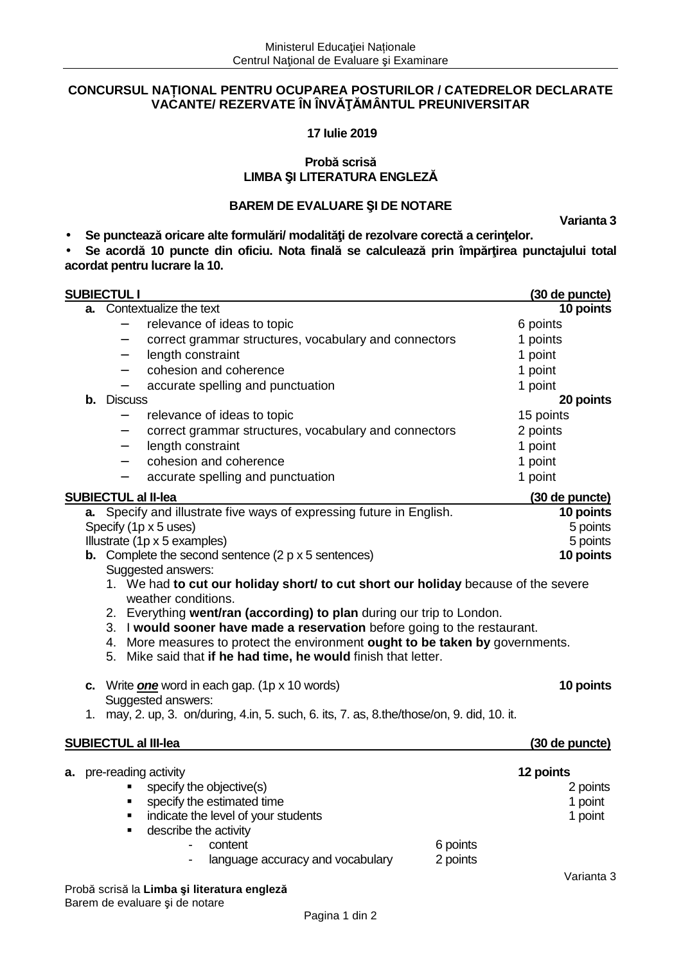## **CONCURSUL NAȚIONAL PENTRU OCUPAREA POSTURILOR / CATEDRELOR DECLARATE VACANTE/ REZERVATE ÎN ÎNVĂŢĂMÂNTUL PREUNIVERSITAR**

 **17 Iulie 2019** 

## **Probă scrisă LIMBA ŞI LITERATURA ENGLEZĂ**

# **BAREM DE EVALUARE ŞI DE NOTARE**

**Varianta 3** 

• **Se punctează oricare alte formulări/ modalităţi de rezolvare corectă a cerinţelor.** 

• **Se acordă 10 puncte din oficiu. Nota finală se calculează prin împărţirea punctajului total acordat pentru lucrare la 10.** 

|                                                                                            |                                                                                                                                                    | <b>SUBIECTUL I</b>         |                                                                                    |                      | (30 de puncte) |  |
|--------------------------------------------------------------------------------------------|----------------------------------------------------------------------------------------------------------------------------------------------------|----------------------------|------------------------------------------------------------------------------------|----------------------|----------------|--|
|                                                                                            |                                                                                                                                                    |                            | a. Contextualize the text                                                          |                      | 10 points      |  |
|                                                                                            |                                                                                                                                                    |                            | relevance of ideas to topic                                                        |                      | 6 points       |  |
|                                                                                            |                                                                                                                                                    | $\qquad \qquad -$          | correct grammar structures, vocabulary and connectors                              |                      | 1 points       |  |
|                                                                                            |                                                                                                                                                    | $\overline{\phantom{m}}$   | length constraint                                                                  |                      | 1 point        |  |
|                                                                                            |                                                                                                                                                    |                            | cohesion and coherence                                                             |                      | 1 point        |  |
|                                                                                            |                                                                                                                                                    |                            | accurate spelling and punctuation                                                  |                      | 1 point        |  |
|                                                                                            | b.                                                                                                                                                 | <b>Discuss</b>             |                                                                                    |                      | 20 points      |  |
|                                                                                            |                                                                                                                                                    |                            | relevance of ideas to topic                                                        |                      | 15 points      |  |
|                                                                                            |                                                                                                                                                    | $\overline{\phantom{m}}$   | correct grammar structures, vocabulary and connectors                              |                      | 2 points       |  |
|                                                                                            |                                                                                                                                                    |                            | length constraint                                                                  |                      | 1 point        |  |
|                                                                                            |                                                                                                                                                    | $\overline{\phantom{m}}$   | cohesion and coherence                                                             |                      | 1 point        |  |
|                                                                                            |                                                                                                                                                    |                            | accurate spelling and punctuation                                                  |                      | 1 point        |  |
|                                                                                            |                                                                                                                                                    | <b>SUBIECTUL al II-lea</b> |                                                                                    |                      | (30 de puncte) |  |
|                                                                                            |                                                                                                                                                    |                            | a. Specify and illustrate five ways of expressing future in English.               |                      | 10 points      |  |
|                                                                                            |                                                                                                                                                    |                            | Specify (1p x 5 uses)                                                              |                      | 5 points       |  |
|                                                                                            |                                                                                                                                                    |                            | Illustrate (1p x 5 examples)                                                       |                      | 5 points       |  |
|                                                                                            |                                                                                                                                                    |                            | <b>b.</b> Complete the second sentence $(2 p \times 5$ sentences)                  |                      | 10 points      |  |
|                                                                                            |                                                                                                                                                    |                            | Suggested answers:                                                                 |                      |                |  |
|                                                                                            |                                                                                                                                                    |                            | 1. We had to cut our holiday short/ to cut short our holiday because of the severe |                      |                |  |
|                                                                                            |                                                                                                                                                    |                            | weather conditions.                                                                |                      |                |  |
|                                                                                            | 2. Everything went/ran (according) to plan during our trip to London.<br>3. I would sooner have made a reservation before going to the restaurant. |                            |                                                                                    |                      |                |  |
|                                                                                            |                                                                                                                                                    |                            | 4. More measures to protect the environment ought to be taken by governments.      |                      |                |  |
|                                                                                            |                                                                                                                                                    |                            | 5. Mike said that if he had time, he would finish that letter.                     |                      |                |  |
|                                                                                            |                                                                                                                                                    |                            |                                                                                    |                      |                |  |
|                                                                                            |                                                                                                                                                    |                            | c. Write <i>one</i> word in each gap. (1p x 10 words)                              |                      | 10 points      |  |
|                                                                                            | Suggested answers:                                                                                                                                 |                            |                                                                                    |                      |                |  |
| 1. may, 2. up, 3. on/during, 4.in, 5. such, 6. its, 7. as, 8.the/those/on, 9. did, 10. it. |                                                                                                                                                    |                            |                                                                                    |                      |                |  |
|                                                                                            |                                                                                                                                                    |                            |                                                                                    |                      |                |  |
|                                                                                            |                                                                                                                                                    |                            | <b>SUBIECTUL al III-lea</b>                                                        |                      | (30 de puncte) |  |
|                                                                                            |                                                                                                                                                    |                            |                                                                                    |                      |                |  |
|                                                                                            |                                                                                                                                                    |                            | <b>a.</b> pre-reading activity                                                     |                      | 12 points      |  |
|                                                                                            |                                                                                                                                                    |                            | specify the objective(s)                                                           |                      | 2 points       |  |
|                                                                                            |                                                                                                                                                    |                            | • specify the estimated time                                                       |                      | 1 point        |  |
|                                                                                            |                                                                                                                                                    |                            | indicate the level of your students                                                |                      | 1 point        |  |
|                                                                                            |                                                                                                                                                    | ٠                          | describe the activity                                                              |                      |                |  |
|                                                                                            |                                                                                                                                                    |                            | content                                                                            | 6 points<br>2 points |                |  |
|                                                                                            |                                                                                                                                                    |                            | language accuracy and vocabulary                                                   |                      |                |  |
|                                                                                            |                                                                                                                                                    |                            | Probă scrisă la Limba și literatura engleză                                        |                      | Varianta 3     |  |
|                                                                                            |                                                                                                                                                    |                            | Barem de evaluare și de notare                                                     |                      |                |  |
|                                                                                            |                                                                                                                                                    |                            | Pagina 1 din 2                                                                     |                      |                |  |